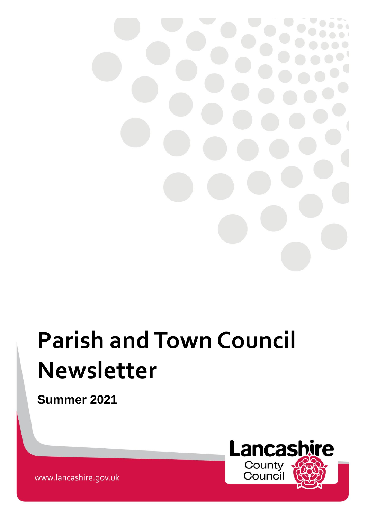

# **Parish and Town Council Newsletter**

**Summer 2021**



www.lancashire.gov.uk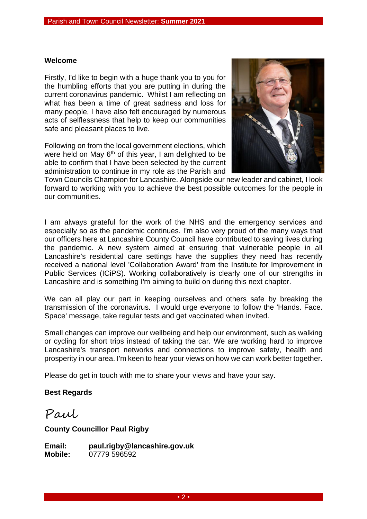#### **Welcome**

Firstly, I'd like to begin with a huge thank you to you for the humbling efforts that you are putting in during the current coronavirus pandemic. Whilst I am reflecting on what has been a time of great sadness and loss for many people, I have also felt encouraged by numerous acts of selflessness that help to keep our communities safe and pleasant places to live.

Following on from the local government elections, which were held on May 6<sup>th</sup> of this year, I am delighted to be able to confirm that I have been selected by the current administration to continue in my role as the Parish and



Town Councils Champion for Lancashire. Alongside our new leader and cabinet, I look forward to working with you to achieve the best possible outcomes for the people in our communities.

I am always grateful for the work of the NHS and the emergency services and especially so as the pandemic continues. I'm also very proud of the many ways that our officers here at Lancashire County Council have contributed to saving lives during the pandemic. A new system aimed at ensuring that vulnerable people in all Lancashire's residential care settings have the supplies they need has recently received a national level 'Collaboration Award' from the Institute for Improvement in Public Services (ICiPS). Working collaboratively is clearly one of our strengths in Lancashire and is something I'm aiming to build on during this next chapter.

We can all play our part in keeping ourselves and others safe by breaking the transmission of the coronavirus. I would urge everyone to follow the 'Hands. Face. Space' message, take regular tests and get vaccinated when invited.

Small changes can improve our wellbeing and help our environment, such as walking or cycling for short trips instead of taking the car. We are working hard to improve Lancashire's transport networks and connections to improve safety, health and prosperity in our area. I'm keen to hear your views on how we can work better together.

Please do get in touch with me to share your views and have your say.

#### **Best Regards**

Paul

#### **County Councillor Paul Rigby**

**Email: [paul.rigby@lancashire.gov.uk](mailto:paul.rigby@lancashire.gov.uk) Mobile:** 07779 596592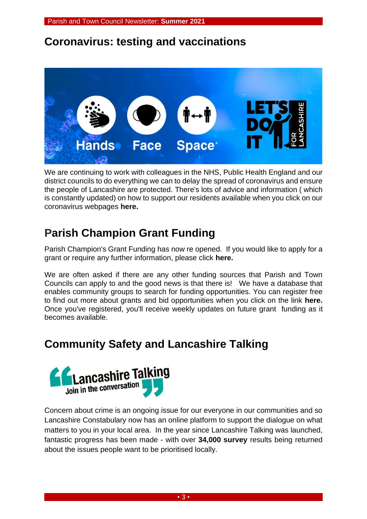### **Coronavirus: testing and vaccinations**



We are continuing to work with colleagues in the NHS, Public Health England and our district councils to do everything we can to delay the spread of coronavirus and ensure the people of Lancashire are protected. There's lots of advice and information ( which is constantly updated) on how to support our residents available when you click on our coronavirus webpages **[here.](https://www.lancashire.gov.uk/coronavirus/)**

## **Parish Champion Grant Funding**

Parish Champion's Grant Funding has now re opened. If you would like to apply for a grant or require any further information, please click **[here.](https://www.lancashire.gov.uk/parish-and-town-councils/parish-champion/)**

We are often asked if there are any other funding sources that Parish and Town Councils can apply to and the good news is that there is! We have a database that enables community groups to search for funding opportunities. You can register free to find out more about grants and bid opportunities when you click on the link **[here.](https://www.idoxopen4community.co.uk/lancashirecc/Register?ReturnUrl=%2flancashirecc%2fProfile%2fEdit)** Once you've registered, you'll receive weekly updates on future grant funding as it becomes available.

## **Community Safety and Lancashire Talking**



Concern about crime is an ongoing issue for our everyone in our communities and so Lancashire Constabulary now has an online platform to support the dialogue on what matters to you in your local area. In the year since Lancashire Talking was launched, fantastic progress has been made - with over **34,000 survey** results being returned about the issues people want to be prioritised locally.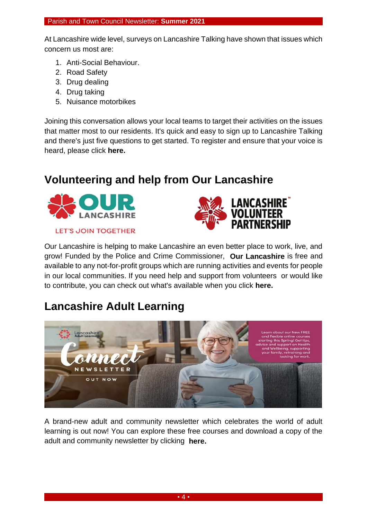At Lancashire wide level, surveys on Lancashire Talking have shown that issues which concern us most are:

- 1. Anti-Social Behaviour.
- 2. Road Safety
- 3. Drug dealing
- 4. Drug taking
- 5. Nuisance motorbikes

Joining this conversation allows your local teams to target their activities on the issues that matter most to our residents. It's quick and easy to sign up to Lancashire Talking and there's just five questions to get started. To register and ensure that your voice is heard, please click **[here.](https://www.stayintheknow.co.uk/C169FCC6-F4C4-46EB-AC2C-9084AC0912FC/QuickRegister)**

### **Volunteering and help from Our Lancashire**



**LET'S JOIN TOGETHER** 



Our Lancashire is helping to make Lancashire an even better place to work, live, and grow! Funded by the Police and Crime Commissioner, **[Our Lancashire](https://ourlancashire.org.uk/)** is free and available to any not-for-profit groups which are running activities and events for people in our local communities. If you need help and support from volunteers or would like to contribute, you can check out what's available when you click **[here.](https://ourlancashire.org.uk/)**

## **Lancashire Adult Learning**



A brand-new adult and community newsletter which celebrates the world of adult learning is out now! You can explore these free courses and download a copy of the adult and community newsletter by clicking **[here.](https://www.lal.ac.uk/wp-content/uploads/2021/02/Course-Guide_Summer-2021.pdf?utm_source=campaignmonitor_010321&utm_medium=Adult_Campaign&utm_campaign=connect_spring_summer_2021)**